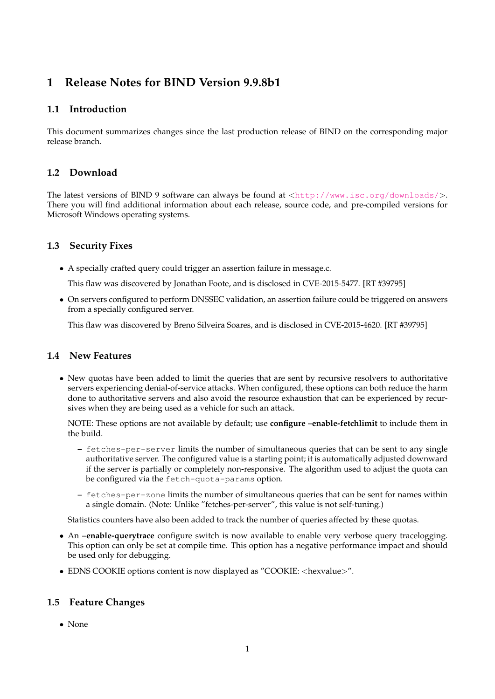# **1 Release Notes for BIND Version 9.9.8b1**

## **1.1 Introduction**

This document summarizes changes since the last production release of BIND on the corresponding major release branch.

## **1.2 Download**

The latest versions of BIND 9 software can always be found at  $\langle \text{http://www.isc.org/downloads/}>$  $\langle \text{http://www.isc.org/downloads/}>$  $\langle \text{http://www.isc.org/downloads/}>$ . There you will find additional information about each release, source code, and pre-compiled versions for Microsoft Windows operating systems.

# **1.3 Security Fixes**

• A specially crafted query could trigger an assertion failure in message.c.

This flaw was discovered by Jonathan Foote, and is disclosed in CVE-2015-5477. [RT #39795]

• On servers configured to perform DNSSEC validation, an assertion failure could be triggered on answers from a specially configured server.

This flaw was discovered by Breno Silveira Soares, and is disclosed in CVE-2015-4620. [RT #39795]

# **1.4 New Features**

• New quotas have been added to limit the queries that are sent by recursive resolvers to authoritative servers experiencing denial-of-service attacks. When configured, these options can both reduce the harm done to authoritative servers and also avoid the resource exhaustion that can be experienced by recursives when they are being used as a vehicle for such an attack.

NOTE: These options are not available by default; use **configure –enable-fetchlimit** to include them in the build.

- **–** fetches-per-server limits the number of simultaneous queries that can be sent to any single authoritative server. The configured value is a starting point; it is automatically adjusted downward if the server is partially or completely non-responsive. The algorithm used to adjust the quota can be configured via the fetch-quota-params option.
- **–** fetches-per-zone limits the number of simultaneous queries that can be sent for names within a single domain. (Note: Unlike "fetches-per-server", this value is not self-tuning.)

Statistics counters have also been added to track the number of queries affected by these quotas.

- An **–enable-querytrace** configure switch is now available to enable very verbose query tracelogging. This option can only be set at compile time. This option has a negative performance impact and should be used only for debugging.
- EDNS COOKIE options content is now displayed as "COOKIE: <hexvalue>".

# **1.5 Feature Changes**

• None